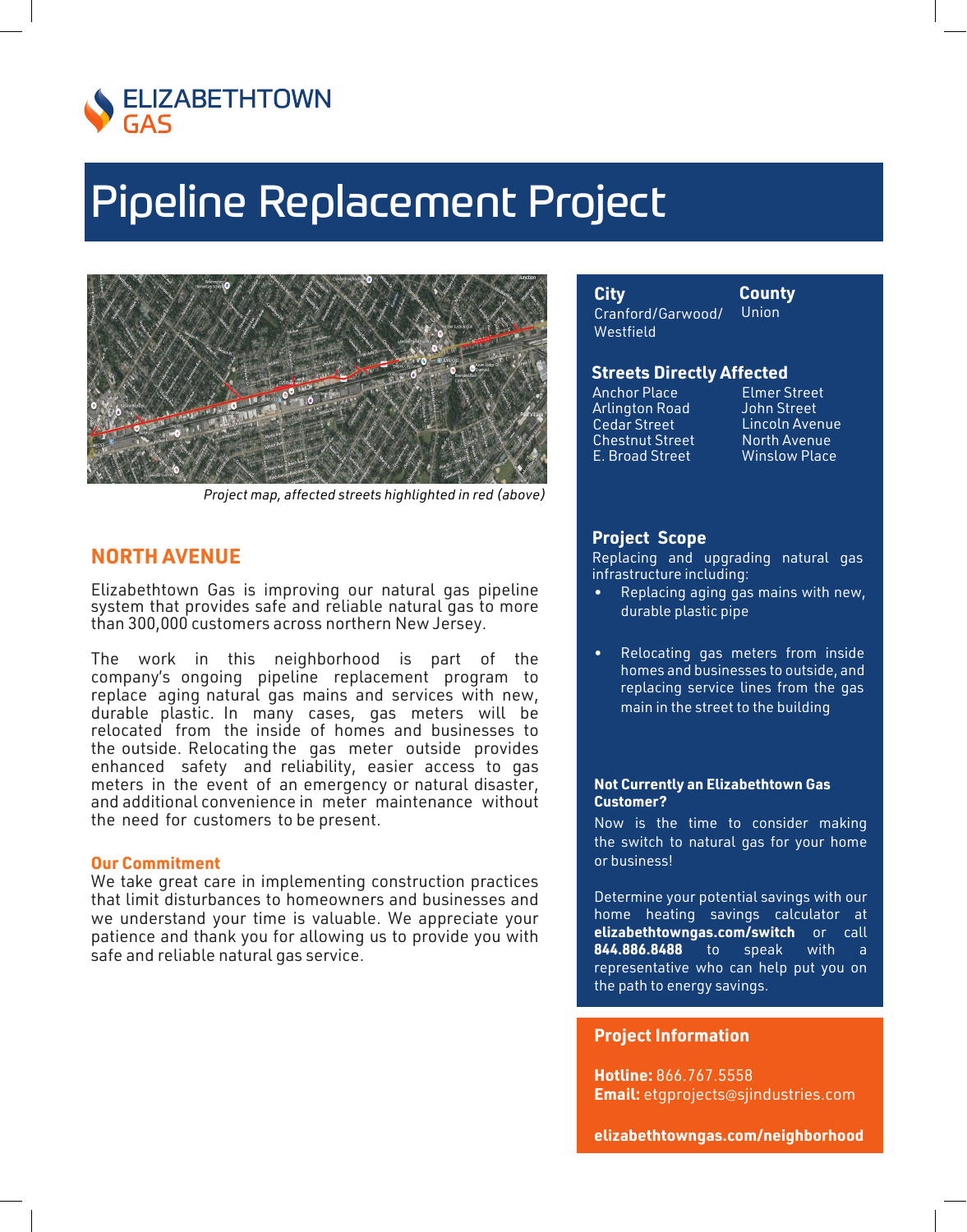

# **Pipeline Replacement Project**



Project map, affected streets highlighted in red (above)

## **NORTH AVENUE**

Elizabethtown Gas is improving our natural gas pipeline system that provides safe and reliable natural gas to more than 300,000 customers across northern New Jersey.

The work in this neighborhood is part of the company's ongoing pipeline replacement program to replace aging natural gas mains and services with new, durable plastic. In many cases, gas meters will be relocated from the inside of homes and businesses to the outside. Relocating the gas meter outside provides enhanced safety and reliability, easier access to gas meters in the event of an emergency or natural disaster, and additional convenience in meter maintenance without the need for customers to be present.

### **Our Commitment**

We take great care in implementing construction practices that limit disturbances to homeowners and businesses and we understand your time is valuable. We appreciate your patience and thank you for allowing us to provide you with safe and reliable natural gas service.

City Cranford/Garwood/ Westfield

County **Union** 

### **Streets Directly Affected**

**Anchor Place Arlington Road** Cedar Street **Chestnut Street** E. Broad Street

**Elmer Street John Street** Lincoln Avenue North Avenue **Winslow Place** 

### **Project Scope**

Replacing and upgrading natural gas infrastructure including:

- Replacing aging gas mains with new, durable plastic pipe
- Relocating gas meters from inside homes and businesses to outside, and replacing service lines from the gas main in the street to the building

#### **Not Currently an Elizabethtown Gas Customer?**

Now is the time to consider making the switch to natural gas for your home or business!

Determine your potential savings with our home heating savings calculator at elizabethtowngas.com/switch or call 844.886.8488  $to$ speak with  $\overline{a}$ representative who can help put you on the path to energy savings.

### **Project Information**

Hotline: 866.767.5558 Email: etgprojects@sjindustries.com

elizabethtowngas.com/neighborhood